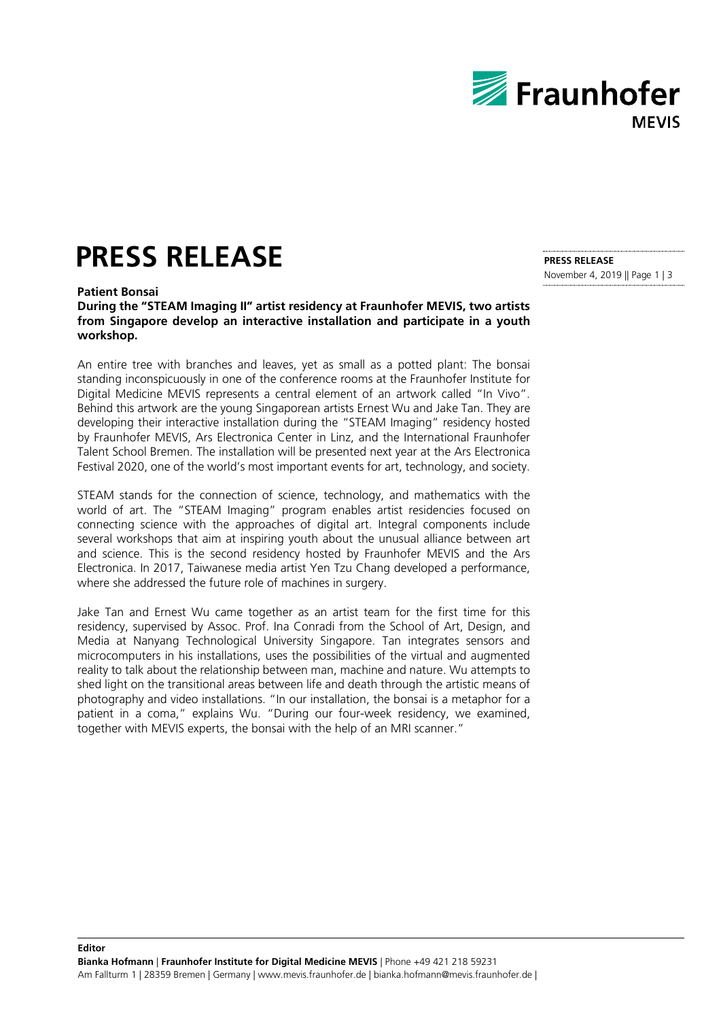

# **PRESS RELEASE PRESS RELEASE**

### **Patient Bonsai**

**During the "STEAM Imaging II" artist residency at Fraunhofer MEVIS, two artists from Singapore develop an interactive installation and participate in a youth workshop.**

An entire tree with branches and leaves, yet as small as a potted plant: The bonsai standing inconspicuously in one of the conference rooms at the Fraunhofer Institute for Digital Medicine MEVIS represents a central element of an artwork called "In Vivo". Behind this artwork are the young Singaporean artists Ernest Wu and Jake Tan. They are developing their interactive installation during the "STEAM Imaging" residency hosted by Fraunhofer MEVIS, Ars Electronica Center in Linz, and the International Fraunhofer Talent School Bremen. The installation will be presented next year at the Ars Electronica Festival 2020, one of the world's most important events for art, technology, and society.

STEAM stands for the connection of science, technology, and mathematics with the world of art. The "STEAM Imaging" program enables artist residencies focused on connecting science with the approaches of digital art. Integral components include several workshops that aim at inspiring youth about the unusual alliance between art and science. This is the second residency hosted by Fraunhofer MEVIS and the Ars Electronica. In 2017, Taiwanese media artist Yen Tzu Chang developed a performance, where she addressed the future role of machines in surgery.

Jake Tan and Ernest Wu came together as an artist team for the first time for this residency, supervised by Assoc. Prof. Ina Conradi from the School of Art, Design, and Media at Nanyang Technological University Singapore. Tan integrates sensors and microcomputers in his installations, uses the possibilities of the virtual and augmented reality to talk about the relationship between man, machine and nature. Wu attempts to shed light on the transitional areas between life and death through the artistic means of photography and video installations. "In our installation, the bonsai is a metaphor for a patient in a coma," explains Wu. "During our four-week residency, we examined, together with MEVIS experts, the bonsai with the help of an MRI scanner."

**Editor Bianka Hofmann** | **Fraunhofer Institute for Digital Medicine MEVIS** | Phone +49 421 218 59231 Am Fallturm 1 | 28359 Bremen | Germany | [www.mevis.fraunhofer.de](http://www.mevis.fraunhofer.de/) [| bianka.hofmann@mevis.fraunhofer.de](mailto:bianka.hofmann@mevis.fraunhofer.de) |

November 4, 2019 || Page 1 | 3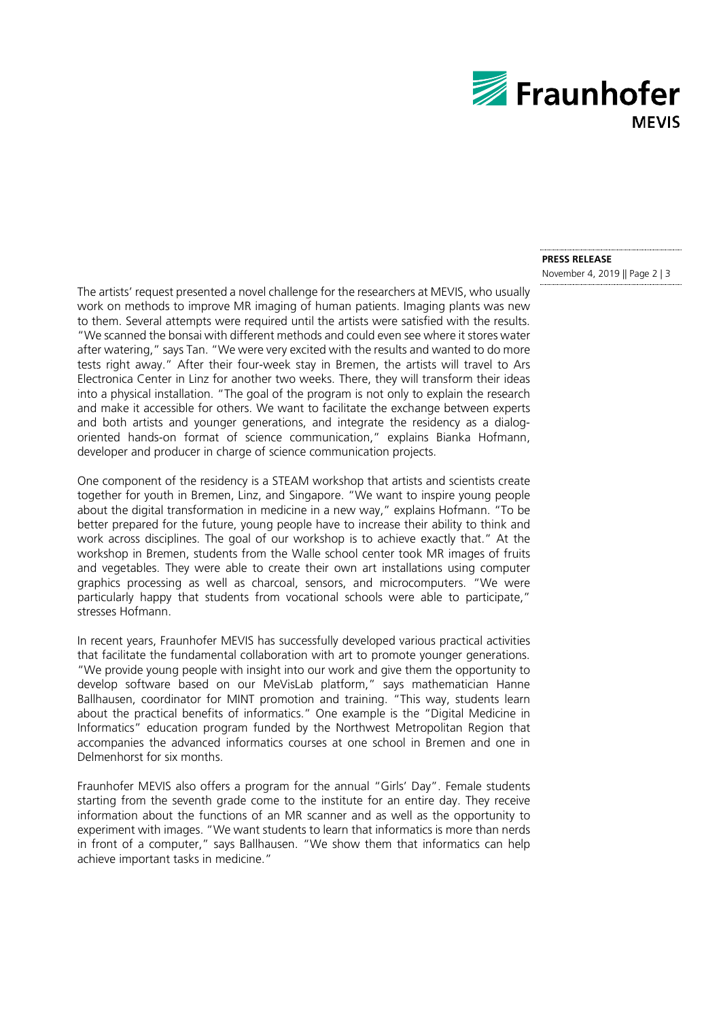

#### **PRESS RELEASE** November 4, 2019 || Page 2 | 3

The artists' request presented a novel challenge for the researchers at MEVIS, who usually work on methods to improve MR imaging of human patients. Imaging plants was new to them. Several attempts were required until the artists were satisfied with the results. "We scanned the bonsai with different methods and could even see where it stores water after watering," says Tan. "We were very excited with the results and wanted to do more tests right away." After their four-week stay in Bremen, the artists will travel to Ars Electronica Center in Linz for another two weeks. There, they will transform their ideas into a physical installation. "The goal of the program is not only to explain the research and make it accessible for others. We want to facilitate the exchange between experts and both artists and younger generations, and integrate the residency as a dialogoriented hands-on format of science communication," explains Bianka Hofmann, developer and producer in charge of science communication projects.

One component of the residency is a STEAM workshop that artists and scientists create together for youth in Bremen, Linz, and Singapore. "We want to inspire young people about the digital transformation in medicine in a new way," explains Hofmann. "To be better prepared for the future, young people have to increase their ability to think and work across disciplines. The goal of our workshop is to achieve exactly that." At the workshop in Bremen, students from the Walle school center took MR images of fruits and vegetables. They were able to create their own art installations using computer graphics processing as well as charcoal, sensors, and microcomputers. "We were particularly happy that students from vocational schools were able to participate," stresses Hofmann.

In recent years, Fraunhofer MEVIS has successfully developed various practical activities that facilitate the fundamental collaboration with art to promote younger generations. "We provide young people with insight into our work and give them the opportunity to develop software based on our MeVisLab platform," says mathematician Hanne Ballhausen, coordinator for MINT promotion and training. "This way, students learn about the practical benefits of informatics." One example is the "Digital Medicine in Informatics" education program funded by the Northwest Metropolitan Region that accompanies the advanced informatics courses at one school in Bremen and one in Delmenhorst for six months.

Fraunhofer MEVIS also offers a program for the annual "Girls' Day". Female students starting from the seventh grade come to the institute for an entire day. They receive information about the functions of an MR scanner and as well as the opportunity to experiment with images. "We want students to learn that informatics is more than nerds in front of a computer," says Ballhausen. "We show them that informatics can help achieve important tasks in medicine."